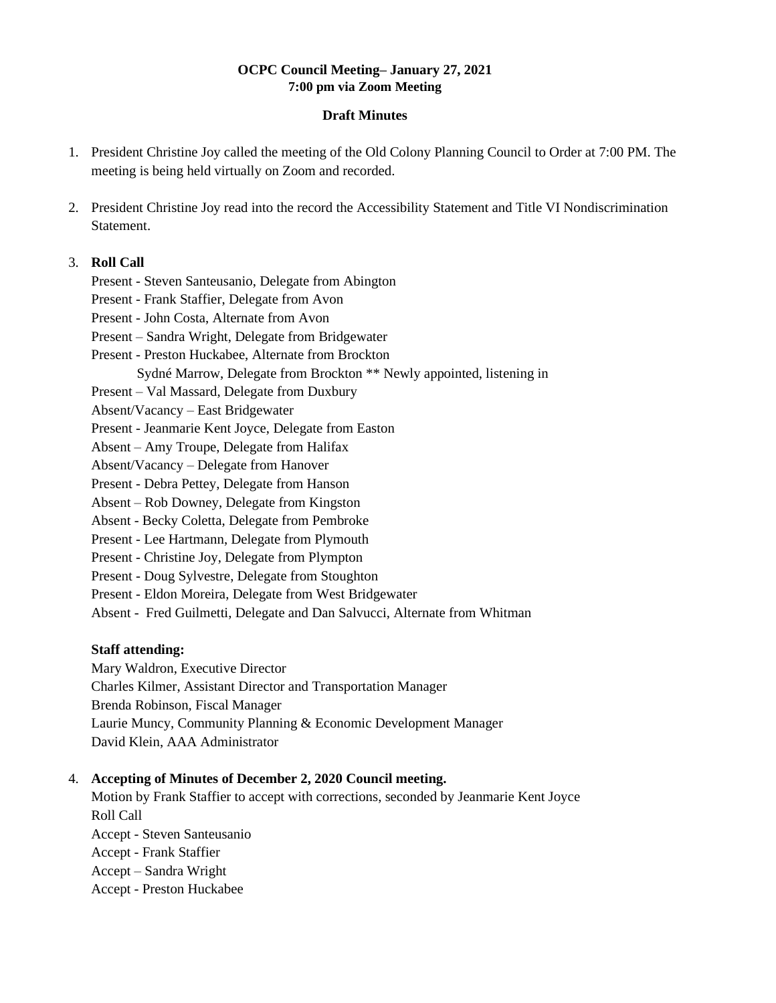#### **OCPC Council Meeting– January 27, 2021 7:00 pm via Zoom Meeting**

#### **Draft Minutes**

- 1. President Christine Joy called the meeting of the Old Colony Planning Council to Order at 7:00 PM. The meeting is being held virtually on Zoom and recorded.
- 2. President Christine Joy read into the record the Accessibility Statement and Title VI Nondiscrimination Statement.

#### 3. **Roll Call**

Present - Steven Santeusanio, Delegate from Abington

Present - Frank Staffier, Delegate from Avon

Present - John Costa, Alternate from Avon

- Present Sandra Wright, Delegate from Bridgewater
- Present Preston Huckabee, Alternate from Brockton
	- Sydné Marrow, Delegate from Brockton \*\* Newly appointed, listening in
- Present Val Massard, Delegate from Duxbury
- Absent/Vacancy East Bridgewater
- Present Jeanmarie Kent Joyce, Delegate from Easton
- Absent Amy Troupe, Delegate from Halifax
- Absent/Vacancy Delegate from Hanover
- Present Debra Pettey, Delegate from Hanson
- Absent Rob Downey, Delegate from Kingston
- Absent Becky Coletta, Delegate from Pembroke
- Present Lee Hartmann, Delegate from Plymouth
- Present Christine Joy, Delegate from Plympton
- Present Doug Sylvestre, Delegate from Stoughton
- Present Eldon Moreira, Delegate from West Bridgewater
- Absent Fred Guilmetti, Delegate and Dan Salvucci, Alternate from Whitman

## **Staff attending:**

Mary Waldron, Executive Director Charles Kilmer, Assistant Director and Transportation Manager Brenda Robinson, Fiscal Manager Laurie Muncy, Community Planning & Economic Development Manager David Klein, AAA Administrator

## 4. **Accepting of Minutes of December 2, 2020 Council meeting.**

Motion by Frank Staffier to accept with corrections, seconded by Jeanmarie Kent Joyce Roll Call Accept - Steven Santeusanio Accept - Frank Staffier Accept – Sandra Wright Accept - Preston Huckabee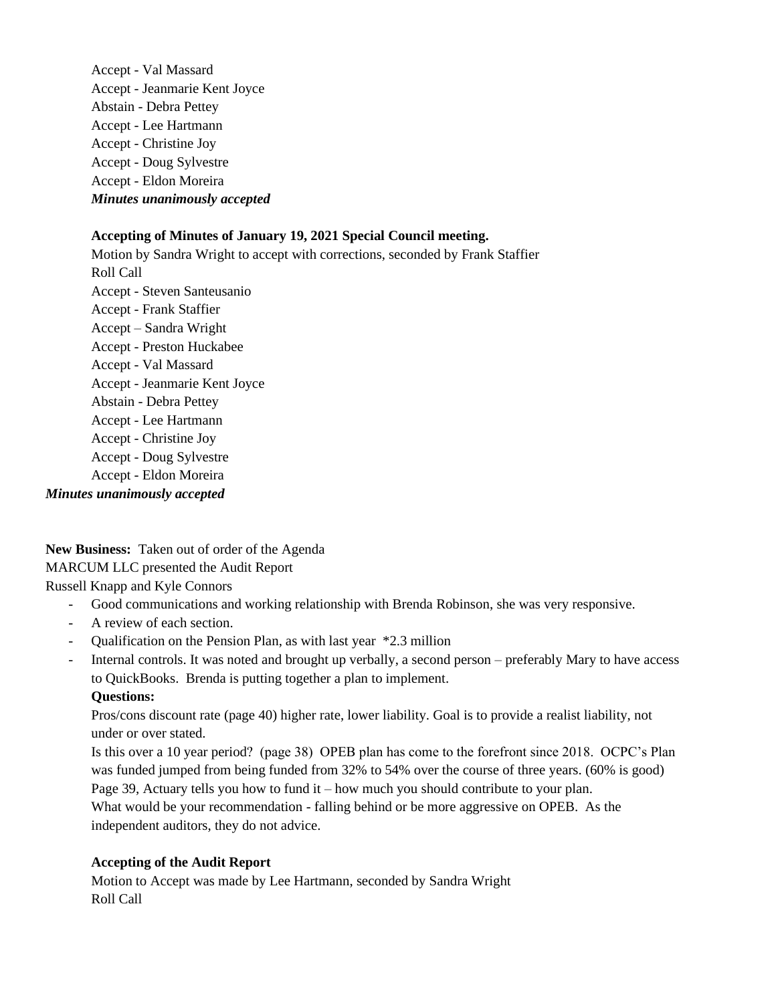Accept - Val Massard Accept - Jeanmarie Kent Joyce Abstain - Debra Pettey Accept - Lee Hartmann Accept - Christine Joy Accept - Doug Sylvestre Accept - Eldon Moreira *Minutes unanimously accepted*

# **Accepting of Minutes of January 19, 2021 Special Council meeting.**

Motion by Sandra Wright to accept with corrections, seconded by Frank Staffier Roll Call Accept - Steven Santeusanio Accept - Frank Staffier Accept – Sandra Wright Accept - Preston Huckabee Accept - Val Massard Accept - Jeanmarie Kent Joyce Abstain - Debra Pettey Accept - Lee Hartmann Accept - Christine Joy Accept - Doug Sylvestre Accept - Eldon Moreira *Minutes unanimously accepted*

**New Business:** Taken out of order of the Agenda MARCUM LLC presented the Audit Report Russell Knapp and Kyle Connors

- Good communications and working relationship with Brenda Robinson, she was very responsive.
- A review of each section.
- Qualification on the Pension Plan, as with last year \*2.3 million

- Internal controls. It was noted and brought up verbally, a second person – preferably Mary to have access to QuickBooks. Brenda is putting together a plan to implement.

# **Questions:**

Pros/cons discount rate (page 40) higher rate, lower liability. Goal is to provide a realist liability, not under or over stated.

Is this over a 10 year period? (page 38) OPEB plan has come to the forefront since 2018. OCPC's Plan was funded jumped from being funded from 32% to 54% over the course of three years. (60% is good) Page 39, Actuary tells you how to fund it – how much you should contribute to your plan.

What would be your recommendation - falling behind or be more aggressive on OPEB. As the independent auditors, they do not advice.

## **Accepting of the Audit Report**

Motion to Accept was made by Lee Hartmann, seconded by Sandra Wright Roll Call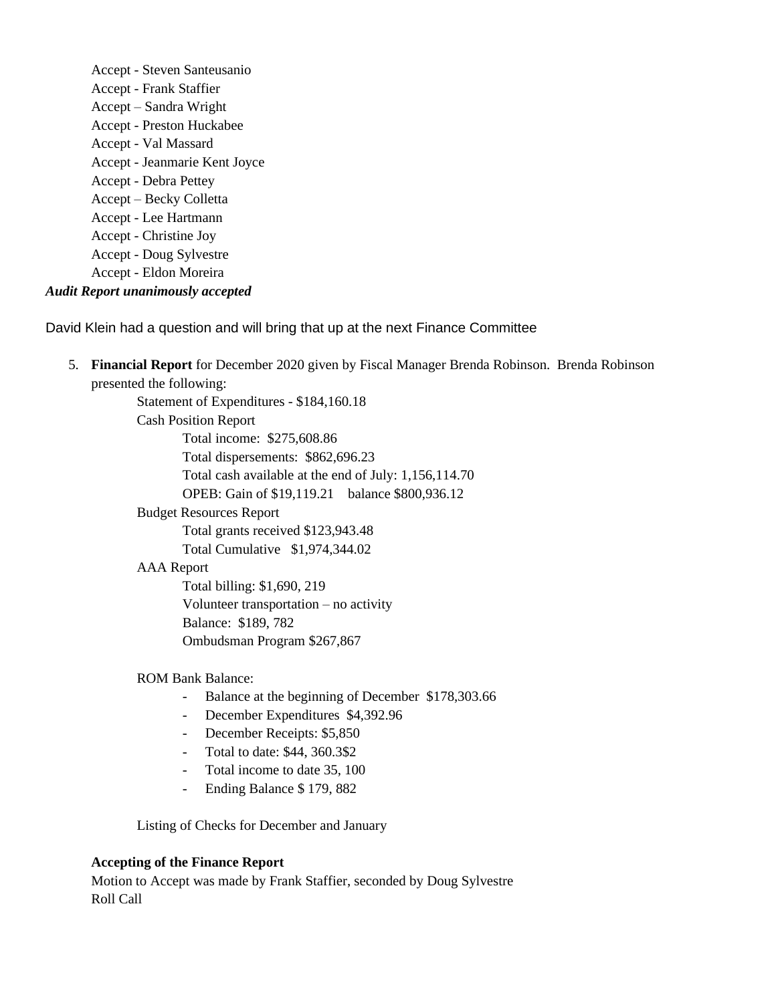Accept - Steven Santeusanio Accept - Frank Staffier Accept – Sandra Wright Accept - Preston Huckabee Accept - Val Massard Accept - Jeanmarie Kent Joyce Accept - Debra Pettey Accept – Becky Colletta Accept - Lee Hartmann Accept - Christine Joy Accept - Doug Sylvestre Accept - Eldon Moreira *Audit Report unanimously accepted*

David Klein had a question and will bring that up at the next Finance Committee

5. **Financial Report** for December 2020 given by Fiscal Manager Brenda Robinson. Brenda Robinson presented the following:

> Statement of Expenditures - \$184,160.18 Cash Position Report Total income: \$275,608.86 Total dispersements: \$862,696.23 Total cash available at the end of July: 1,156,114.70 OPEB: Gain of \$19,119.21 balance \$800,936.12 Budget Resources Report Total grants received \$123,943.48 Total Cumulative \$1,974,344.02

AAA Report

Total billing: \$1,690, 219 Volunteer transportation – no activity Balance: \$189, 782 Ombudsman Program \$267,867

## ROM Bank Balance:

- Balance at the beginning of December \$178,303.66
- December Expenditures \$4,392.96
- December Receipts: \$5,850
- Total to date: \$44, 360.3\$2
- Total income to date 35, 100
- Ending Balance \$ 179, 882

Listing of Checks for December and January

#### **Accepting of the Finance Report**

Motion to Accept was made by Frank Staffier, seconded by Doug Sylvestre Roll Call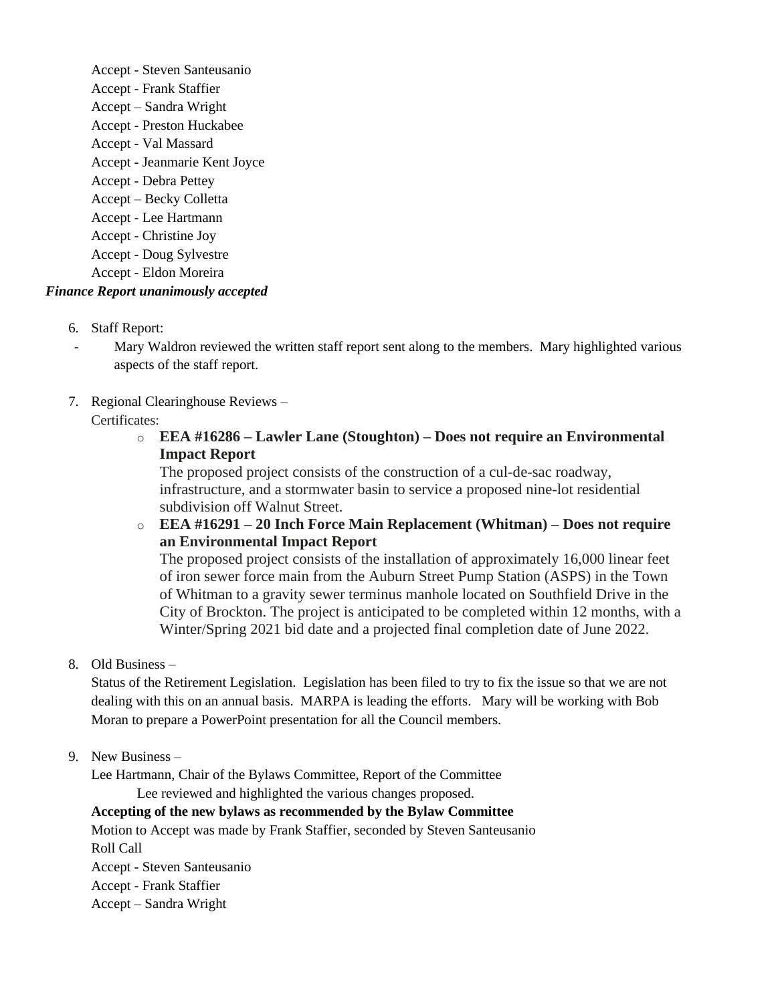Accept - Steven Santeusanio Accept - Frank Staffier Accept – Sandra Wright Accept - Preston Huckabee Accept - Val Massard Accept - Jeanmarie Kent Joyce Accept - Debra Pettey Accept – Becky Colletta Accept - Lee Hartmann Accept - Christine Joy Accept - Doug Sylvestre Accept - Eldon Moreira *Finance Report unanimously accepted*

- 6. Staff Report:
- Mary Waldron reviewed the written staff report sent along to the members. Mary highlighted various aspects of the staff report.
- 7. Regional Clearinghouse Reviews –

Certificates:

o **EEA #16286 – Lawler Lane (Stoughton) – Does not require an Environmental Impact Report**

The proposed project consists of the construction of a cul-de-sac roadway, infrastructure, and a stormwater basin to service a proposed nine-lot residential subdivision off Walnut Street.

o **EEA #16291 – 20 Inch Force Main Replacement (Whitman) – Does not require an Environmental Impact Report**

The proposed project consists of the installation of approximately 16,000 linear feet of iron sewer force main from the Auburn Street Pump Station (ASPS) in the Town of Whitman to a gravity sewer terminus manhole located on Southfield Drive in the City of Brockton. The project is anticipated to be completed within 12 months, with a Winter/Spring 2021 bid date and a projected final completion date of June 2022.

8. Old Business –

Status of the Retirement Legislation. Legislation has been filed to try to fix the issue so that we are not dealing with this on an annual basis. MARPA is leading the efforts. Mary will be working with Bob Moran to prepare a PowerPoint presentation for all the Council members.

9. New Business –

Lee Hartmann, Chair of the Bylaws Committee, Report of the Committee

Lee reviewed and highlighted the various changes proposed.

**Accepting of the new bylaws as recommended by the Bylaw Committee** 

Motion to Accept was made by Frank Staffier, seconded by Steven Santeusanio Roll Call

Accept - Steven Santeusanio Accept - Frank Staffier Accept – Sandra Wright